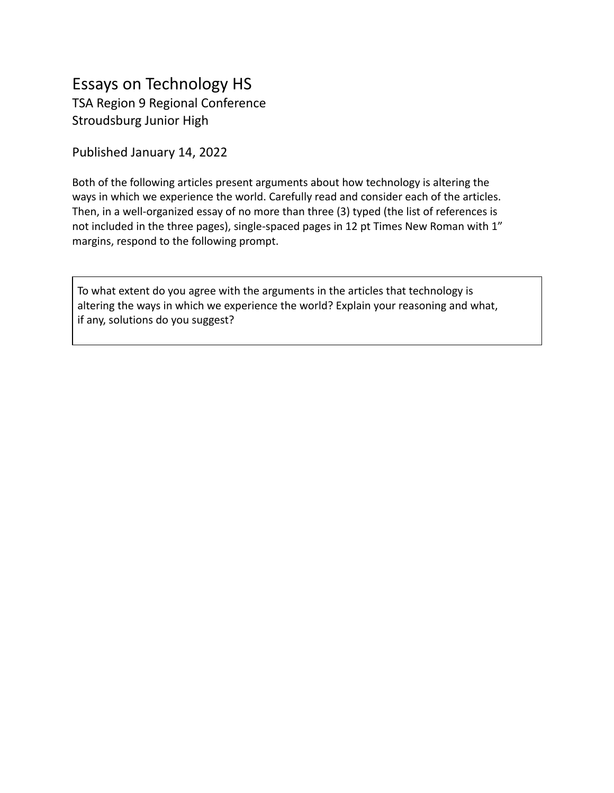#### Essays on Technology HS TSA Region 9 Regional Conference Stroudsburg Junior High

Published January 14, 2022

Both of the following articles present arguments about how technology is altering the ways in which we experience the world. Carefully read and consider each of the articles. Then, in a well-organized essay of no more than three (3) typed (the list of references is not included in the three pages), single-spaced pages in 12 pt Times New Roman with 1" margins, respond to the following prompt.

To what extent do you agree with the arguments in the articles that technology is altering the ways in which we experience the world? Explain your reasoning and what, if any, solutions do you suggest?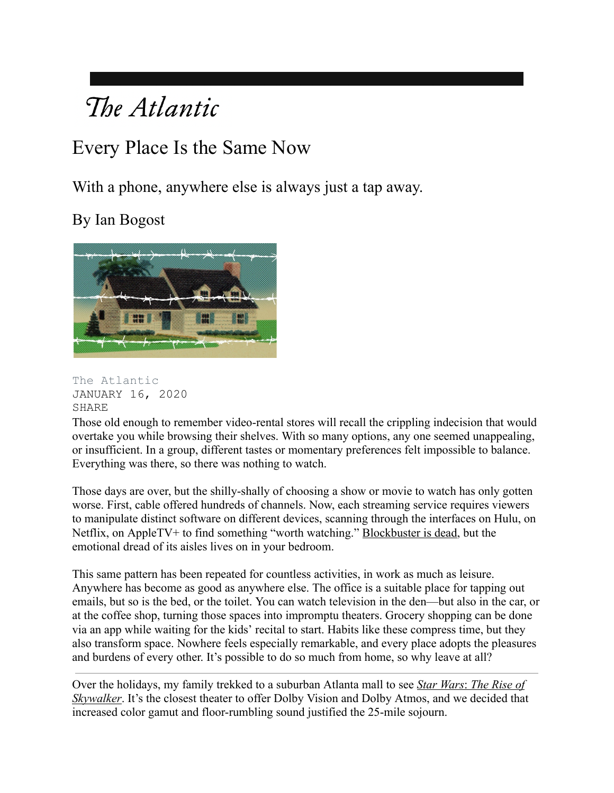## The Atlantic

### Every Place Is the Same Now

With a phone, anywhere else is always just a tap away.

By Ian [Bogost](https://www.theatlantic.com/author/ian-bogost/)



The Atlantic JANUARY 16, 2020 SHARE

Those old enough to remember video-rental stores will recall the crippling indecision that would overtake you while browsing their shelves. With so many options, any one seemed unappealing, or insufficient. In a group, different tastes or momentary preferences felt impossible to balance. Everything was there, so there was nothing to watch.

 $\mathcal{L}_\mathcal{L} = \mathcal{L}_\mathcal{L} = \mathcal{L}_\mathcal{L} = \mathcal{L}_\mathcal{L} = \mathcal{L}_\mathcal{L} = \mathcal{L}_\mathcal{L} = \mathcal{L}_\mathcal{L} = \mathcal{L}_\mathcal{L} = \mathcal{L}_\mathcal{L} = \mathcal{L}_\mathcal{L} = \mathcal{L}_\mathcal{L} = \mathcal{L}_\mathcal{L} = \mathcal{L}_\mathcal{L} = \mathcal{L}_\mathcal{L} = \mathcal{L}_\mathcal{L} = \mathcal{L}_\mathcal{L} = \mathcal{L}_\mathcal{L}$ 

Those days are over, but the shilly-shally of choosing a show or movie to watch has only gotten worse. First, cable offered hundreds of channels. Now, each streaming service requires viewers to manipulate distinct software on different devices, scanning through the interfaces on Hulu, on Netflix, on AppleTV+ to find something "worth watching." [Blockbuster is dead](https://www.theatlantic.com/technology/archive/2013/11/i-loved-you-blockbuster/281213/), but the emotional dread of its aisles lives on in your bedroom.

This same pattern has been repeated for countless activities, in work as much as leisure. Anywhere has become as good as anywhere else. The office is a suitable place for tapping out emails, but so is the bed, or the toilet. You can watch television in the den—but also in the car, or at the coffee shop, turning those spaces into impromptu theaters. Grocery shopping can be done via an app while waiting for the kids' recital to start. Habits like these compress time, but they also transform space. Nowhere feels especially remarkable, and every place adopts the pleasures and burdens of every other. It's possible to do so much from home, so why leave at all?

Over the holidays, my family trekked to a suburban Atlanta mall to see *Star Wars*: *[The Rise of](https://www.theatlantic.com/entertainment/archive/2019/12/star-wars-the-rise-of-skywalker-review/603790/) [Skywalker](https://www.theatlantic.com/entertainment/archive/2019/12/star-wars-the-rise-of-skywalker-review/603790/)*. It's the closest theater to offer Dolby Vision and Dolby Atmos, and we decided that increased color gamut and floor-rumbling sound justified the 25-mile sojourn.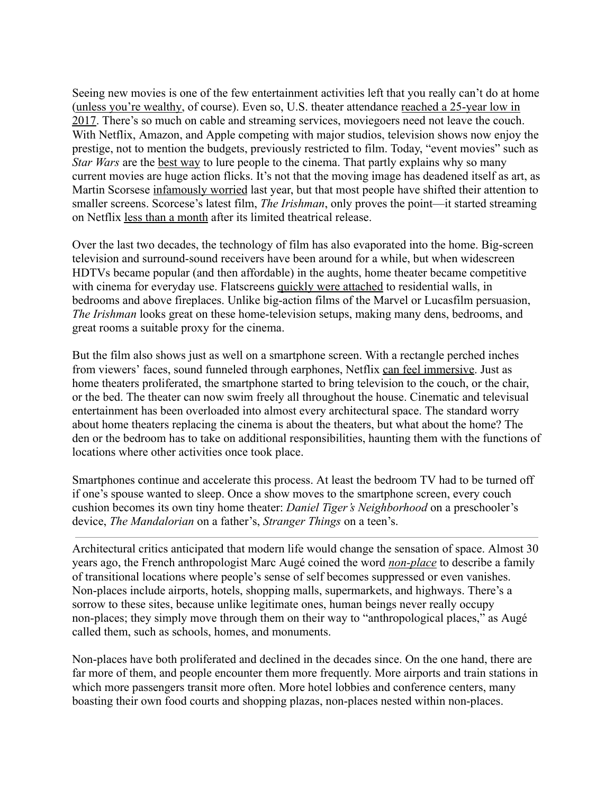Seeing new movies is one of the few entertainment activities left that you really can't do at home ([unless you're wealthy,](https://www.engadget.com/2019/04/08/red-carpet-films-first-run-movie-rentals/) of course). Even so, U.S. theater attendance [reached a 25-year low in](https://www.theverge.com/2018/1/3/16844662/movie-theater-attendance-2017-low-netflix-streaming) [2017](https://www.theverge.com/2018/1/3/16844662/movie-theater-attendance-2017-low-netflix-streaming). There's so much on cable and streaming services, moviegoers need not leave the couch. With Netflix, Amazon, and Apple competing with major studios, television shows now enjoy the prestige, not to mention the budgets, previously restricted to film. Today, "event movies" such as *Star Wars* are the [best way](https://www.whitehutchinson.com/news/lenews/2019/february/article105.shtml) to lure people to the cinema. That partly explains why so many current movies are huge action flicks. It's not that the moving image has deadened itself as art, as Martin Scorsese [infamously worried](https://www.nytimes.com/2019/11/04/opinion/martin-scorsese-marvel.html) last year, but that most people have shifted their attention to smaller screens. Scorcese's latest film, *The Irishman*, only proves the point—it started streaming on Netflix [less than a month](https://www.hollywoodreporter.com/news/netflix-forgoes-wide-release-martin-scorseses-irishman-1234382) after its limited theatrical release.

Over the last two decades, the technology of film has also evaporated into the home. Big-screen television and surround-sound receivers have been around for a while, but when widescreen HDTVs became popular (and then affordable) in the aughts, home theater became competitive with cinema for everyday use. Flatscreens [quickly were attached](https://www.adweek.com/brand-marketing/hdtv-adoption-rises-105840/) to residential walls, in bedrooms and above fireplaces. Unlike big-action films of the Marvel or Lucasfilm persuasion, *The Irishman* looks great on these home-television setups, making many dens, bedrooms, and great rooms a suitable proxy for the cinema.

But the film also shows just as well on a smartphone screen. With a rectangle perched inches from viewers' faces, sound funneled through earphones, Netflix [can feel immersive](https://nationalpost.com/entertainment/movies/small-screen-big-pleasures-why-its-not-so-bad-to-watch-a-movie-on-your-phone). Just as home theaters proliferated, the smartphone started to bring television to the couch, or the chair, or the bed. The theater can now swim freely all throughout the house. Cinematic and televisual entertainment has been overloaded into almost every architectural space. The standard worry about home theaters replacing the cinema is about the theaters, but what about the home? The den or the bedroom has to take on additional responsibilities, haunting them with the functions of locations where other activities once took place.

Smartphones continue and accelerate this process. At least the bedroom TV had to be turned off if one's spouse wanted to sleep. Once a show moves to the smartphone screen, every couch cushion becomes its own tiny home theater: *Daniel Tiger's Neighborhood* on a preschooler's device, *The Mandalorian* on a father's, *Stranger Things* on a teen's.

Architectural critics anticipated that modern life would change the sensation of space. Almost 30 years ago, the French anthropologist Marc Augé coined the word *[non-place](https://www.versobooks.com/books/360-non-places)* to describe a family of transitional locations where people's sense of self becomes suppressed or even vanishes. Non-places include airports, hotels, shopping malls, supermarkets, and highways. There's a sorrow to these sites, because unlike legitimate ones, human beings never really occupy non-places; they simply move through them on their way to "anthropological places," as Augé called them, such as schools, homes, and monuments.

Non-places have both proliferated and declined in the decades since. On the one hand, there are far more of them, and people encounter them more frequently. More airports and train stations in which more passengers transit more often. More hotel lobbies and conference centers, many boasting their own food courts and shopping plazas, non-places nested within non-places.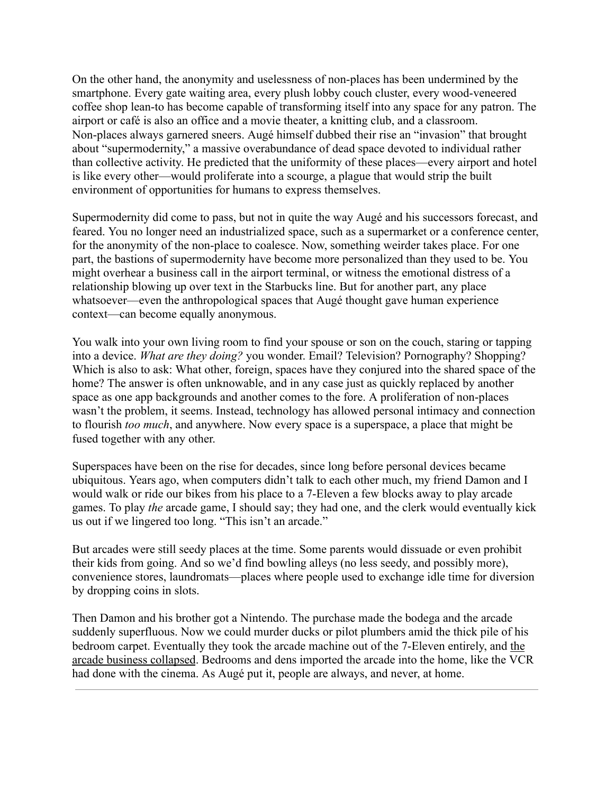On the other hand, the anonymity and uselessness of non-places has been undermined by the smartphone. Every gate waiting area, every plush lobby couch cluster, every wood-veneered coffee shop lean-to has become capable of transforming itself into any space for any patron. The airport or café is also an office and a movie theater, a knitting club, and a classroom. Non-places always garnered sneers. Augé himself dubbed their rise an "invasion" that brought about "supermodernity," a massive overabundance of dead space devoted to individual rather than collective activity. He predicted that the uniformity of these places—every airport and hotel is like every other—would proliferate into a scourge, a plague that would strip the built environment of opportunities for humans to express themselves.

Supermodernity did come to pass, but not in quite the way Augé and his successors forecast, and feared. You no longer need an industrialized space, such as a supermarket or a conference center, for the anonymity of the non-place to coalesce. Now, something weirder takes place. For one part, the bastions of supermodernity have become more personalized than they used to be. You might overhear a business call in the airport terminal, or witness the emotional distress of a relationship blowing up over text in the Starbucks line. But for another part, any place whatsoever—even the anthropological spaces that Augé thought gave human experience context—can become equally anonymous.

You walk into your own living room to find your spouse or son on the couch, staring or tapping into a device. *What are they doing?* you wonder. Email? Television? Pornography? Shopping? Which is also to ask: What other, foreign, spaces have they conjured into the shared space of the home? The answer is often unknowable, and in any case just as quickly replaced by another space as one app backgrounds and another comes to the fore. A proliferation of non-places wasn't the problem, it seems. Instead, technology has allowed personal intimacy and connection to flourish *too much*, and anywhere. Now every space is a superspace, a place that might be fused together with any other.

Superspaces have been on the rise for decades, since long before personal devices became ubiquitous. Years ago, when computers didn't talk to each other much, my friend Damon and I would walk or ride our bikes from his place to a 7-Eleven a few blocks away to play arcade games. To play *the* arcade game, I should say; they had one, and the clerk would eventually kick us out if we lingered too long. "This isn't an arcade."

But arcades were still seedy places at the time. Some parents would dissuade or even prohibit their kids from going. And so we'd find bowling alleys (no less seedy, and possibly more), convenience stores, laundromats—places where people used to exchange idle time for diversion by dropping coins in slots.

Then Damon and his brother got a Nintendo. The purchase made the bodega and the arcade suddenly superfluous. Now we could murder ducks or pilot plumbers amid the thick pile of his bedroom carpet. Eventually they took the arcade machine out of the 7-Eleven entirely, and [the](https://www.theverge.com/2013/1/16/3740422/the-life-and-death-of-the-american-arcade-for-amusement-only) [arcade business collapsed](https://www.theverge.com/2013/1/16/3740422/the-life-and-death-of-the-american-arcade-for-amusement-only). Bedrooms and dens imported the arcade into the home, like the VCR had done with the cinema. As Augé put it, people are always, and never, at home.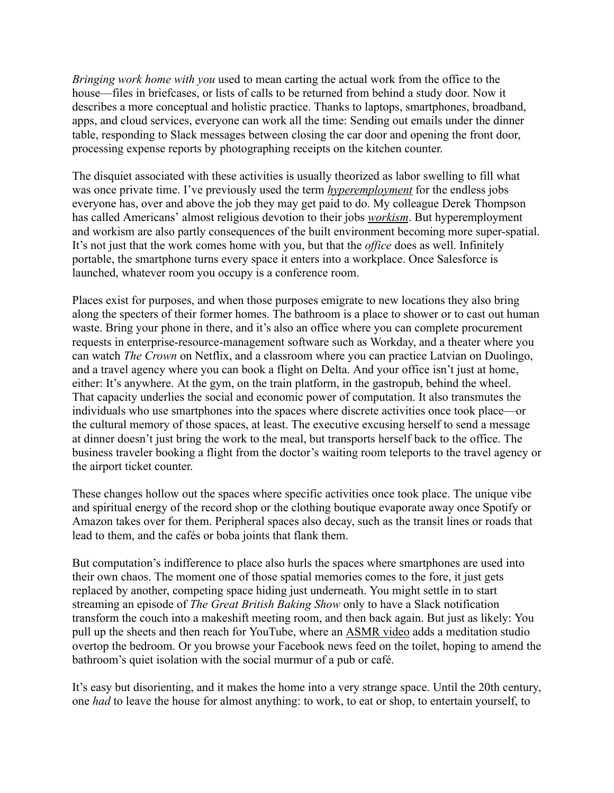*Bringing work home with you* used to mean carting the actual work from the office to the house—files in briefcases, or lists of calls to be returned from behind a study door. Now it describes a more conceptual and holistic practice. Thanks to laptops, smartphones, broadband, apps, and cloud services, everyone can work all the time: Sending out emails under the dinner table, responding to Slack messages between closing the car door and opening the front door, processing expense reports by photographing receipts on the kitchen counter.

The disquiet associated with these activities is usually theorized as labor swelling to fill what was once private time. I've previously used the term *[hyperemployment](https://www.google.com/search?client=safari&rls=en&q=hyperemployment+bogost&ie=UTF-8&oe=UTF-8)* for the endless jobs everyone has, over and above the job they may get paid to do. My colleague Derek Thompson has called Americans' almost religious devotion to their jobs *[workism](https://www.theatlantic.com/ideas/archive/2019/02/religion-workism-making-americans-miserable/583441/)*. But hyperemployment and workism are also partly consequences of the built environment becoming more super-spatial. It's not just that the work comes home with you, but that the *office* does as well. Infinitely portable, the smartphone turns every space it enters into a workplace. Once Salesforce is launched, whatever room you occupy is a conference room.

Places exist for purposes, and when those purposes emigrate to new locations they also bring along the specters of their former homes. The bathroom is a place to shower or to cast out human waste. Bring your phone in there, and it's also an office where you can complete procurement requests in enterprise-resource-management software such as Workday, and a theater where you can watch *The Crown* on Netflix, and a classroom where you can practice Latvian on Duolingo, and a travel agency where you can book a flight on Delta. And your office isn't just at home, either: It's anywhere. At the gym, on the train platform, in the gastropub, behind the wheel. That capacity underlies the social and economic power of computation. It also transmutes the individuals who use smartphones into the spaces where discrete activities once took place—or the cultural memory of those spaces, at least. The executive excusing herself to send a message at dinner doesn't just bring the work to the meal, but transports herself back to the office. The business traveler booking a flight from the doctor's waiting room teleports to the travel agency or the airport ticket counter.

These changes hollow out the spaces where specific activities once took place. The unique vibe and spiritual energy of the record shop or the clothing boutique evaporate away once Spotify or Amazon takes over for them. Peripheral spaces also decay, such as the transit lines or roads that lead to them, and the cafés or boba joints that flank them.

But computation's indifference to place also hurls the spaces where smartphones are used into their own chaos. The moment one of those spatial memories comes to the fore, it just gets replaced by another, competing space hiding just underneath. You might settle in to start streaming an episode of *The Great British Baking Show* only to have a Slack notification transform the couch into a makeshift meeting room, and then back again. But just as likely: You pull up the sheets and then reach for YouTube, where an [ASMR video](https://www.theatlantic.com/health/archive/2016/07/the-emotional-labor-of-asmr/490811/) adds a meditation studio overtop the bedroom. Or you browse your Facebook news feed on the toilet, hoping to amend the bathroom's quiet isolation with the social murmur of a pub or café.

It's easy but disorienting, and it makes the home into a very strange space. Until the 20th century, one *had* to leave the house for almost anything: to work, to eat or shop, to entertain yourself, to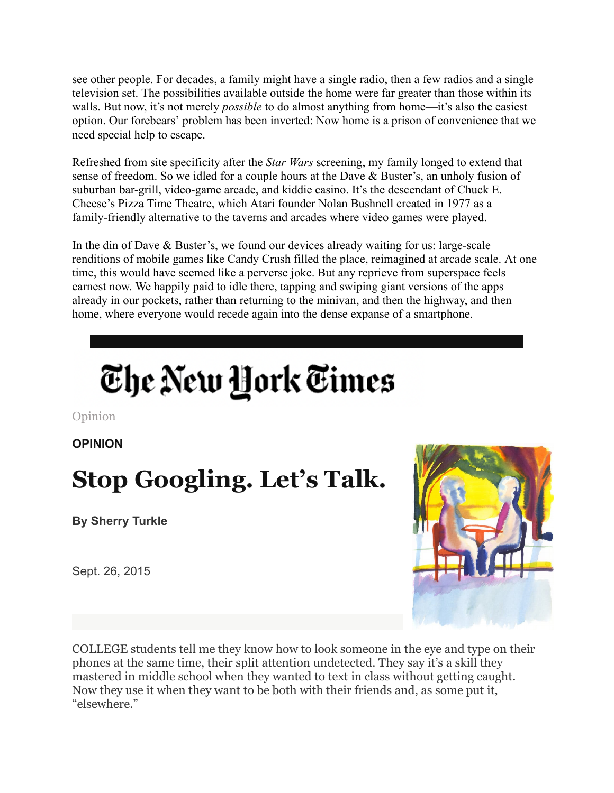see other people. For decades, a family might have a single radio, then a few radios and a single television set. The possibilities available outside the home were far greater than those within its walls. But now, it's not merely *possible* to do almost anything from home—it's also the easiest option. Our forebears' problem has been inverted: Now home is a prison of convenience that we need special help to escape.

Refreshed from site specificity after the *Star Wars* screening, my family longed to extend that sense of freedom. So we idled for a couple hours at the Dave & Buster's, an unholy fusion of suburban bar-grill, video-game arcade, and kiddie casino. It's the descendant of [Chuck E.](https://www.vice.com/en_us/article/9kkn7y/a-history-of-chuck-e-cheeses-animatronic-band) [Cheese's Pizza Time Theatre,](https://www.vice.com/en_us/article/9kkn7y/a-history-of-chuck-e-cheeses-animatronic-band) which Atari founder Nolan Bushnell created in 1977 as a family-friendly alternative to the taverns and arcades where video games were played.

In the din of Dave & Buster's, we found our devices already waiting for us: large-scale renditions of mobile games like Candy Crush filled the place, reimagined at arcade scale. At one time, this would have seemed like a perverse joke. But any reprieve from superspace feels earnest now. We happily paid to idle there, tapping and swiping giant versions of the apps already in our pockets, rather than returning to the minivan, and then the highway, and then home, where everyone would recede again into the dense expanse of a smartphone.

 $\mathcal{L}_\mathcal{L} = \mathcal{L}_\mathcal{L} = \mathcal{L}_\mathcal{L} = \mathcal{L}_\mathcal{L} = \mathcal{L}_\mathcal{L} = \mathcal{L}_\mathcal{L} = \mathcal{L}_\mathcal{L} = \mathcal{L}_\mathcal{L} = \mathcal{L}_\mathcal{L} = \mathcal{L}_\mathcal{L} = \mathcal{L}_\mathcal{L} = \mathcal{L}_\mathcal{L} = \mathcal{L}_\mathcal{L} = \mathcal{L}_\mathcal{L} = \mathcal{L}_\mathcal{L} = \mathcal{L}_\mathcal{L} = \mathcal{L}_\mathcal{L}$ 

# The New York Times

[Opinion](https://www.nytimes.com/section/opinion)

**OPINION**

## **Stop Googling. Let's Talk.**

**By Sherry Turkle**

Sept. 26, 2015



COLLEGE students tell me they know how to look someone in the eye and type on their phones at the same time, their split attention undetected. They say it's a skill they mastered in middle school when they wanted to text in class without getting caught. Now they use it when they want to be both with their friends and, as some put it, "elsewhere."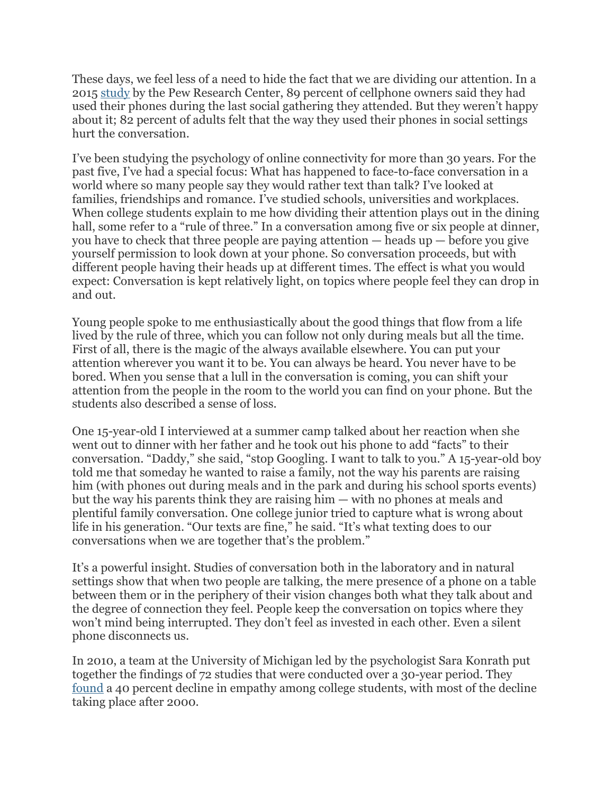These days, we feel less of a need to hide the fact that we are dividing our attention. In a 2015 [study](http://www.pewinternet.org/files/2015/08/2015-08-26_mobile-etiquette_FINAL.pdf) by the Pew Research Center, 89 percent of cellphone owners said they had used their phones during the last social gathering they attended. But they weren't happy about it; 82 percent of adults felt that the way they used their phones in social settings hurt the conversation.

I've been studying the psychology of online connectivity for more than 30 years. For the past five, I've had a special focus: What has happened to face-to-face conversation in a world where so many people say they would rather text than talk? I've looked at families, friendships and romance. I've studied schools, universities and workplaces. When college students explain to me how dividing their attention plays out in the dining hall, some refer to a "rule of three." In a conversation among five or six people at dinner, you have to check that three people are paying attention — heads up — before you give yourself permission to look down at your phone. So conversation proceeds, but with different people having their heads up at different times. The effect is what you would expect: Conversation is kept relatively light, on topics where people feel they can drop in and out.

Young people spoke to me enthusiastically about the good things that flow from a life lived by the rule of three, which you can follow not only during meals but all the time. First of all, there is the magic of the always available elsewhere. You can put your attention wherever you want it to be. You can always be heard. You never have to be bored. When you sense that a lull in the conversation is coming, you can shift your attention from the people in the room to the world you can find on your phone. But the students also described a sense of loss.

One 15-year-old I interviewed at a summer camp talked about her reaction when she went out to dinner with her father and he took out his phone to add "facts" to their conversation. "Daddy," she said, "stop Googling. I want to talk to you." A 15-year-old boy told me that someday he wanted to raise a family, not the way his parents are raising him (with phones out during meals and in the park and during his school sports events) but the way his parents think they are raising him — with no phones at meals and plentiful family conversation. One college junior tried to capture what is wrong about life in his generation. "Our texts are fine," he said. "It's what texting does to our conversations when we are together that's the problem."

It's a powerful insight. Studies of conversation both in the laboratory and in natural settings show that when two people are talking, the mere presence of a phone on a table between them or in the periphery of their vision changes both what they talk about and the degree of connection they feel. People keep the conversation on topics where they won't mind being interrupted. They don't feel as invested in each other. Even a silent phone disconnects us.

In 2010, a team at the University of Michigan led by the psychologist Sara Konrath put together the findings of 72 studies that were conducted over a 30-year period. They [found](http://www.ipearlab.org/media/publications/Changes_in_Dispositional_Empathy_-_Sara_Konrath.pdf) a 40 percent decline in empathy among college students, with most of the decline taking place after 2000.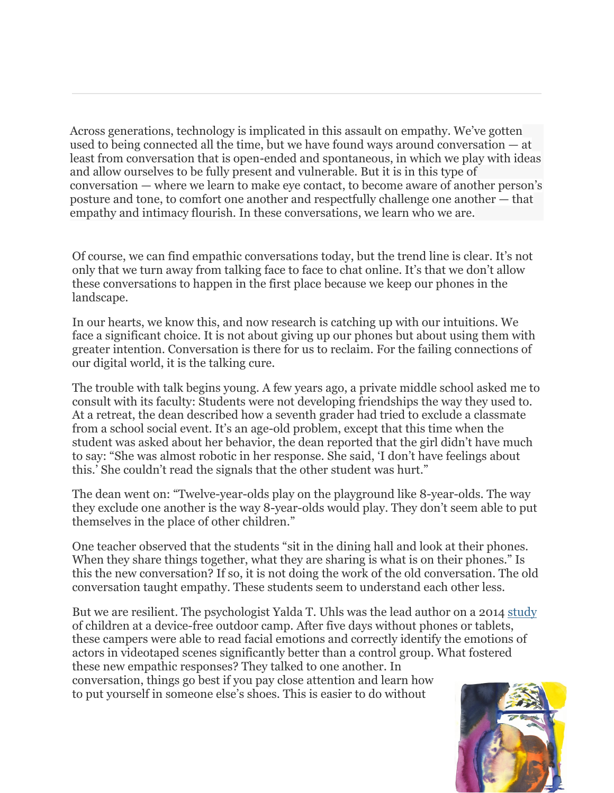Across generations, technology is implicated in this assault on empathy. We've gotten used to being connected all the time, but we have found ways around conversation — at least from conversation that is open-ended and spontaneous, in which we play with ideas and allow ourselves to be fully present and vulnerable. But it is in this type of conversation — where we learn to make eye contact, to become aware of another person's posture and tone, to comfort one another and respectfully challenge one another — that empathy and intimacy flourish. In these conversations, we learn who we are.

Of course, we can find empathic conversations today, but the trend line is clear. It's not only that we turn away from talking face to face to chat online. It's that we don't allow these conversations to happen in the first place because we keep our phones in the landscape.

In our hearts, we know this, and now research is catching up with our intuitions. We face a significant choice. It is not about giving up our phones but about using them with greater intention. Conversation is there for us to reclaim. For the failing connections of our digital world, it is the talking cure.

The trouble with talk begins young. A few years ago, a private middle school asked me to consult with its faculty: Students were not developing friendships the way they used to. At a retreat, the dean described how a seventh grader had tried to exclude a classmate from a school social event. It's an age-old problem, except that this time when the student was asked about her behavior, the dean reported that the girl didn't have much to say: "She was almost robotic in her response. She said, 'I don't have feelings about this.' She couldn't read the signals that the other student was hurt."

The dean went on: "Twelve-year-olds play on the playground like 8-year-olds. The way they exclude one another is the way 8-year-olds would play. They don't seem able to put themselves in the place of other children."

One teacher observed that the students "sit in the dining hall and look at their phones. When they share things together, what they are sharing is what is on their phones." Is this the new conversation? If so, it is not doing the work of the old conversation. The old conversation taught empathy. These students seem to understand each other less.

But we are resilient. The psychologist Yalda T. Uhls was the lead author on a 2014 [study](http://www.sciencedirect.com/science/article/pii/S0747563214003227) of children at a device-free outdoor camp. After five days without phones or tablets, these campers were able to read facial emotions and correctly identify the emotions of actors in videotaped scenes significantly better than a control group. What fostered these new empathic responses? They talked to one another. In conversation, things go best if you pay close attention and learn how to put yourself in someone else's shoes. This is easier to do without

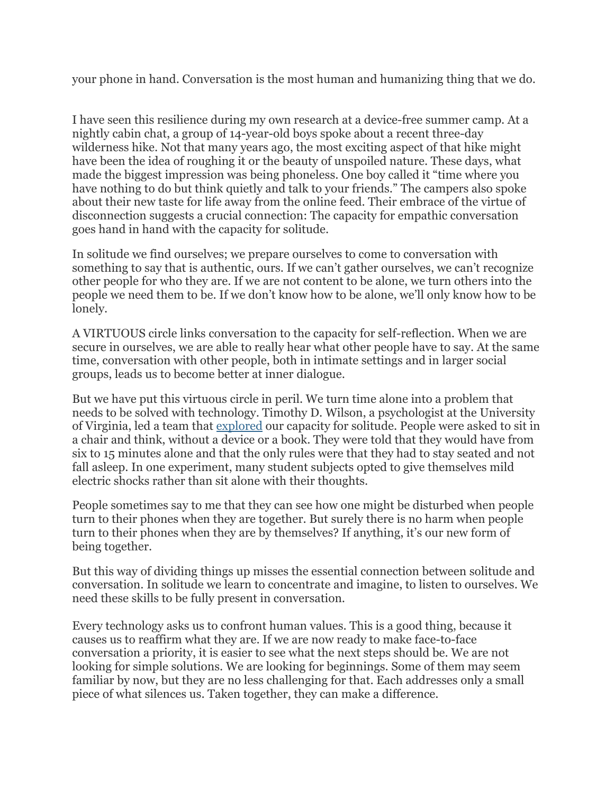your phone in hand. Conversation is the most human and humanizing thing that we do.

I have seen this resilience during my own research at a device-free summer camp. At a nightly cabin chat, a group of 14-year-old boys spoke about a recent three-day wilderness hike. Not that many years ago, the most exciting aspect of that hike might have been the idea of roughing it or the beauty of unspoiled nature. These days, what made the biggest impression was being phoneless. One boy called it "time where you have nothing to do but think quietly and talk to your friends." The campers also spoke about their new taste for life away from the online feed. Their embrace of the virtue of disconnection suggests a crucial connection: The capacity for empathic conversation goes hand in hand with the capacity for solitude.

In solitude we find ourselves; we prepare ourselves to come to conversation with something to say that is authentic, ours. If we can't gather ourselves, we can't recognize other people for who they are. If we are not content to be alone, we turn others into the people we need them to be. If we don't know how to be alone, we'll only know how to be lonely.

A VIRTUOUS circle links conversation to the capacity for self-reflection. When we are secure in ourselves, we are able to really hear what other people have to say. At the same time, conversation with other people, both in intimate settings and in larger social groups, leads us to become better at inner dialogue.

But we have put this virtuous circle in peril. We turn time alone into a problem that needs to be solved with technology. Timothy D. Wilson, a psychologist at the University of Virginia, led a team that [explored](http://www.ncbi.nlm.nih.gov/pmc/articles/PMC4330241/) our capacity for solitude. People were asked to sit in a chair and think, without a device or a book. They were told that they would have from six to 15 minutes alone and that the only rules were that they had to stay seated and not fall asleep. In one experiment, many student subjects opted to give themselves mild electric shocks rather than sit alone with their thoughts.

People sometimes say to me that they can see how one might be disturbed when people turn to their phones when they are together. But surely there is no harm when people turn to their phones when they are by themselves? If anything, it's our new form of being together.

But this way of dividing things up misses the essential connection between solitude and conversation. In solitude we learn to concentrate and imagine, to listen to ourselves. We need these skills to be fully present in conversation.

Every technology asks us to confront human values. This is a good thing, because it causes us to reaffirm what they are. If we are now ready to make face-to-face conversation a priority, it is easier to see what the next steps should be. We are not looking for simple solutions. We are looking for beginnings. Some of them may seem familiar by now, but they are no less challenging for that. Each addresses only a small piece of what silences us. Taken together, they can make a difference.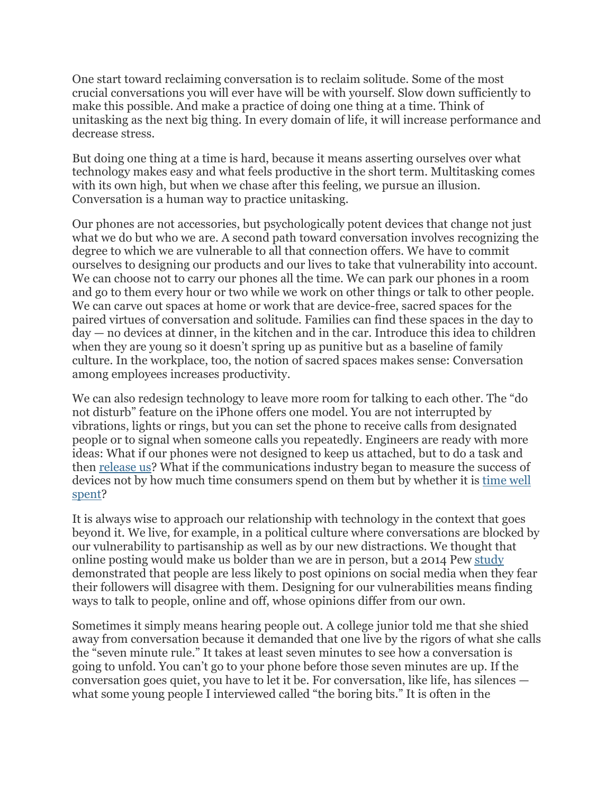One start toward reclaiming conversation is to reclaim solitude. Some of the most crucial conversations you will ever have will be with yourself. Slow down sufficiently to make this possible. And make a practice of doing one thing at a time. Think of unitasking as the next big thing. In every domain of life, it will increase performance and decrease stress.

But doing one thing at a time is hard, because it means asserting ourselves over what technology makes easy and what feels productive in the short term. Multitasking comes with its own high, but when we chase after this feeling, we pursue an illusion. Conversation is a human way to practice unitasking.

Our phones are not accessories, but psychologically potent devices that change not just what we do but who we are. A second path toward conversation involves recognizing the degree to which we are vulnerable to all that connection offers. We have to commit ourselves to designing our products and our lives to take that vulnerability into account. We can choose not to carry our phones all the time. We can park our phones in a room and go to them every hour or two while we work on other things or talk to other people. We can carve out spaces at home or work that are device-free, sacred spaces for the paired virtues of conversation and solitude. Families can find these spaces in the day to day — no devices at dinner, in the kitchen and in the car. Introduce this idea to children when they are young so it doesn't spring up as punitive but as a baseline of family culture. In the workplace, too, the notion of sacred spaces makes sense: Conversation among employees increases productivity.

We can also redesign technology to leave more room for talking to each other. The "do not disturb" feature on the iPhone offers one model. You are not interrupted by vibrations, lights or rings, but you can set the phone to receive calls from designated people or to signal when someone calls you repeatedly. Engineers are ready with more ideas: What if our phones were not designed to keep us attached, but to do a task and then [release us?](http://dl.acm.org/citation.cfm?id=2615642) What if the communications industry began to measure the success of devices not by how much time consumers spend on them but by whether it is [time well](http://www.tristanharris.com/essays/) [spent](http://www.tristanharris.com/essays/)?

It is always wise to approach our relationship with technology in the context that goes beyond it. We live, for example, in a political culture where conversations are blocked by our vulnerability to partisanship as well as by our new distractions. We thought that online posting would make us bolder than we are in person, but a 2014 Pew [study](http://www.pewinternet.org/2014/08/26/social-media-and-the-spiral-of-silence/) demonstrated that people are less likely to post opinions on social media when they fear their followers will disagree with them. Designing for our vulnerabilities means finding ways to talk to people, online and off, whose opinions differ from our own.

Sometimes it simply means hearing people out. A college junior told me that she shied away from conversation because it demanded that one live by the rigors of what she calls the "seven minute rule." It takes at least seven minutes to see how a conversation is going to unfold. You can't go to your phone before those seven minutes are up. If the conversation goes quiet, you have to let it be. For conversation, like life, has silences what some young people I interviewed called "the boring bits." It is often in the